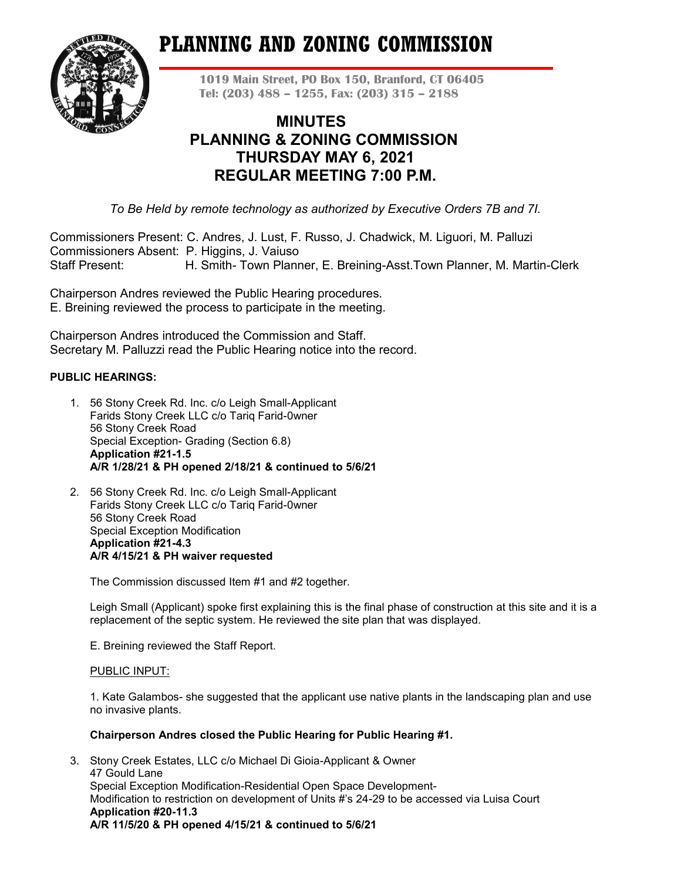# **PLANNING AND ZONING COMMISSION**



**1019 Main Street, PO Box 150, Branford, CT 06405 Tel: (203) 488 – 1255, Fax: (203) 315 – 2188**

# **MINUTES PLANNING & ZONING COMMISSION THURSDAY MAY 6, 2021 REGULAR MEETING 7:00 P.M.**

*To Be Held by remote technology as authorized by Executive Orders 7B and 7I.*

Commissioners Present: C. Andres, J. Lust, F. Russo, J. Chadwick, M. Liguori, M. Palluzi Commissioners Absent: P. Higgins, J. Vaiuso Staff Present: H. Smith- Town Planner, E. Breining-Asst.Town Planner, M. Martin-Clerk

Chairperson Andres reviewed the Public Hearing procedures. E. Breining reviewed the process to participate in the meeting.

Chairperson Andres introduced the Commission and Staff. Secretary M. Palluzzi read the Public Hearing notice into the record.

# **PUBLIC HEARINGS:**

- 1. 56 Stony Creek Rd. Inc. c/o Leigh Small-Applicant Farids Stony Creek LLC c/o Tariq Farid-0wner 56 Stony Creek Road Special Exception- Grading (Section 6.8) **Application #21-1.5 A/R 1/28/21 & PH opened 2/18/21 & continued to 5/6/21**
- 2. 56 Stony Creek Rd. Inc. c/o Leigh Small-Applicant Farids Stony Creek LLC c/o Tariq Farid-0wner 56 Stony Creek Road Special Exception Modification **Application #21-4.3 A/R 4/15/21 & PH waiver requested**

The Commission discussed Item #1 and #2 together.

Leigh Small (Applicant) spoke first explaining this is the final phase of construction at this site and it is a replacement of the septic system. He reviewed the site plan that was displayed.

E. Breining reviewed the Staff Report.

# PUBLIC INPUT:

1. Kate Galambos- she suggested that the applicant use native plants in the landscaping plan and use no invasive plants.

#### **Chairperson Andres closed the Public Hearing for Public Hearing #1.**

3. Stony Creek Estates, LLC c/o Michael Di Gioia-Applicant & Owner 47 Gould Lane Special Exception Modification-Residential Open Space Development-Modification to restriction on development of Units #'s 24-29 to be accessed via Luisa Court **Application #20-11.3 A/R 11/5/20 & PH opened 4/15/21 & continued to 5/6/21**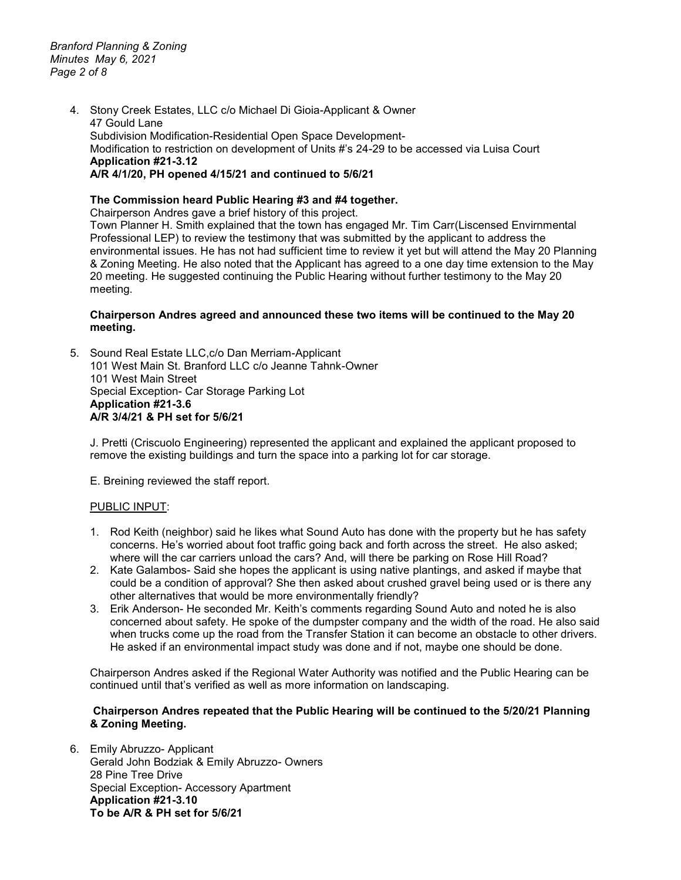*Branford Planning & Zoning Minutes May 6, 2021 Page 2 of 8*

> 4. Stony Creek Estates, LLC c/o Michael Di Gioia-Applicant & Owner 47 Gould Lane Subdivision Modification-Residential Open Space Development-Modification to restriction on development of Units #'s 24-29 to be accessed via Luisa Court **Application #21-3.12 A/R 4/1/20, PH opened 4/15/21 and continued to 5/6/21**

### **The Commission heard Public Hearing #3 and #4 together.**

Chairperson Andres gave a brief history of this project.

Town Planner H. Smith explained that the town has engaged Mr. Tim Carr(Liscensed Envirnmental Professional LEP) to review the testimony that was submitted by the applicant to address the environmental issues. He has not had sufficient time to review it yet but will attend the May 20 Planning & Zoning Meeting. He also noted that the Applicant has agreed to a one day time extension to the May 20 meeting. He suggested continuing the Public Hearing without further testimony to the May 20 meeting.

#### **Chairperson Andres agreed and announced these two items will be continued to the May 20 meeting.**

5. Sound Real Estate LLC,c/o Dan Merriam-Applicant 101 West Main St. Branford LLC c/o Jeanne Tahnk-Owner 101 West Main Street Special Exception- Car Storage Parking Lot **Application #21-3.6 A/R 3/4/21 & PH set for 5/6/21**

J. Pretti (Criscuolo Engineering) represented the applicant and explained the applicant proposed to remove the existing buildings and turn the space into a parking lot for car storage.

E. Breining reviewed the staff report.

#### PUBLIC INPUT:

- 1. Rod Keith (neighbor) said he likes what Sound Auto has done with the property but he has safety concerns. He's worried about foot traffic going back and forth across the street. He also asked; where will the car carriers unload the cars? And, will there be parking on Rose Hill Road?
- 2. Kate Galambos- Said she hopes the applicant is using native plantings, and asked if maybe that could be a condition of approval? She then asked about crushed gravel being used or is there any other alternatives that would be more environmentally friendly?
- 3. Erik Anderson- He seconded Mr. Keith's comments regarding Sound Auto and noted he is also concerned about safety. He spoke of the dumpster company and the width of the road. He also said when trucks come up the road from the Transfer Station it can become an obstacle to other drivers. He asked if an environmental impact study was done and if not, maybe one should be done.

Chairperson Andres asked if the Regional Water Authority was notified and the Public Hearing can be continued until that's verified as well as more information on landscaping.

#### **Chairperson Andres repeated that the Public Hearing will be continued to the 5/20/21 Planning & Zoning Meeting.**

6. Emily Abruzzo- Applicant Gerald John Bodziak & Emily Abruzzo- Owners 28 Pine Tree Drive Special Exception- Accessory Apartment **Application #21-3.10 To be A/R & PH set for 5/6/21**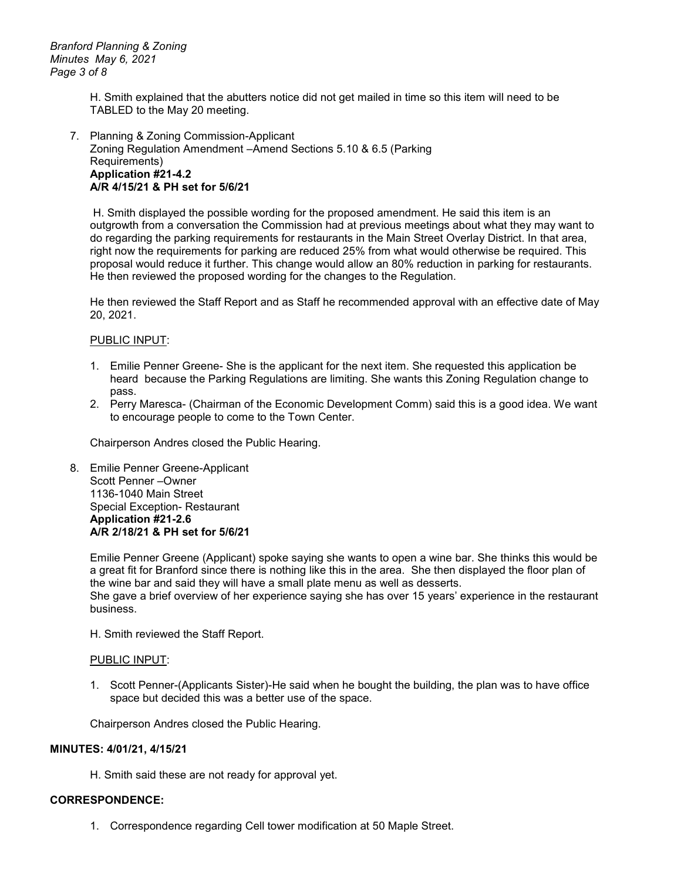H. Smith explained that the abutters notice did not get mailed in time so this item will need to be TABLED to the May 20 meeting.

#### 7. Planning & Zoning Commission-Applicant Zoning Regulation Amendment –Amend Sections 5.10 & 6.5 (Parking Requirements) **Application #21-4.2 A/R 4/15/21 & PH set for 5/6/21**

H. Smith displayed the possible wording for the proposed amendment. He said this item is an outgrowth from a conversation the Commission had at previous meetings about what they may want to do regarding the parking requirements for restaurants in the Main Street Overlay District. In that area, right now the requirements for parking are reduced 25% from what would otherwise be required. This proposal would reduce it further. This change would allow an 80% reduction in parking for restaurants. He then reviewed the proposed wording for the changes to the Regulation.

He then reviewed the Staff Report and as Staff he recommended approval with an effective date of May 20, 2021.

#### PUBLIC INPUT:

- 1. Emilie Penner Greene- She is the applicant for the next item. She requested this application be heard because the Parking Regulations are limiting. She wants this Zoning Regulation change to pass.
- 2. Perry Maresca- (Chairman of the Economic Development Comm) said this is a good idea. We want to encourage people to come to the Town Center.

Chairperson Andres closed the Public Hearing.

8. Emilie Penner Greene-Applicant Scott Penner –Owner 1136-1040 Main Street Special Exception- Restaurant **Application #21-2.6 A/R 2/18/21 & PH set for 5/6/21**

> Emilie Penner Greene (Applicant) spoke saying she wants to open a wine bar. She thinks this would be a great fit for Branford since there is nothing like this in the area. She then displayed the floor plan of the wine bar and said they will have a small plate menu as well as desserts. She gave a brief overview of her experience saying she has over 15 years' experience in the restaurant business.

H. Smith reviewed the Staff Report.

#### PUBLIC INPUT:

1. Scott Penner-(Applicants Sister)-He said when he bought the building, the plan was to have office space but decided this was a better use of the space.

Chairperson Andres closed the Public Hearing.

#### **MINUTES: 4/01/21, 4/15/21**

H. Smith said these are not ready for approval yet.

#### **CORRESPONDENCE:**

1. Correspondence regarding Cell tower modification at 50 Maple Street.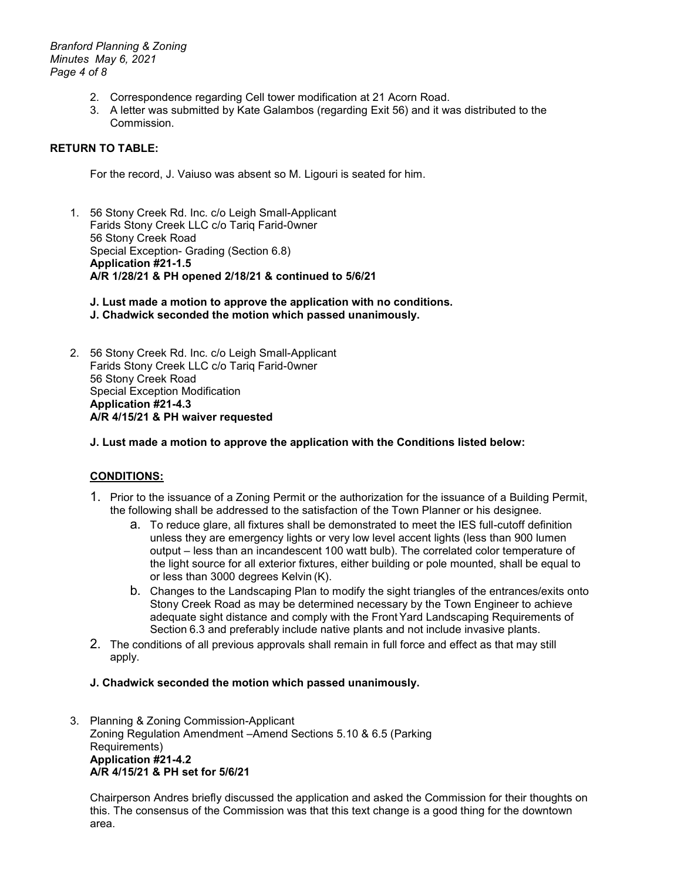*Branford Planning & Zoning Minutes May 6, 2021 Page 4 of 8*

- 2. Correspondence regarding Cell tower modification at 21 Acorn Road.
- 3. A letter was submitted by Kate Galambos (regarding Exit 56) and it was distributed to the Commission.

# **RETURN TO TABLE:**

For the record, J. Vaiuso was absent so M. Ligouri is seated for him.

- 1. 56 Stony Creek Rd. Inc. c/o Leigh Small-Applicant Farids Stony Creek LLC c/o Tariq Farid-0wner 56 Stony Creek Road Special Exception- Grading (Section 6.8) **Application #21-1.5 A/R 1/28/21 & PH opened 2/18/21 & continued to 5/6/21**
	- **J. Lust made a motion to approve the application with no conditions. J. Chadwick seconded the motion which passed unanimously.**
- 2. 56 Stony Creek Rd. Inc. c/o Leigh Small-Applicant Farids Stony Creek LLC c/o Tariq Farid-0wner 56 Stony Creek Road Special Exception Modification **Application #21-4.3 A/R 4/15/21 & PH waiver requested**

#### **J. Lust made a motion to approve the application with the Conditions listed below:**

# **CONDITIONS:**

- 1. Prior to the issuance of a Zoning Permit or the authorization for the issuance of a Building Permit, the following shall be addressed to the satisfaction of the Town Planner or his designee.
	- a. To reduce glare, all fixtures shall be demonstrated to meet the IES full-cutoff definition unless they are emergency lights or very low level accent lights (less than 900 lumen output – less than an incandescent 100 watt bulb). The correlated color temperature of the light source for all exterior fixtures, either building or pole mounted, shall be equal to or less than 3000 degrees Kelvin (K).
	- b. Changes to the Landscaping Plan to modify the sight triangles of the entrances/exits onto Stony Creek Road as may be determined necessary by the Town Engineer to achieve adequate sight distance and comply with the Front Yard Landscaping Requirements of Section 6.3 and preferably include native plants and not include invasive plants.
- 2. The conditions of all previous approvals shall remain in full force and effect as that may still apply.

#### **J. Chadwick seconded the motion which passed unanimously.**

3. Planning & Zoning Commission-Applicant Zoning Regulation Amendment –Amend Sections 5.10 & 6.5 (Parking Requirements) **Application #21-4.2 A/R 4/15/21 & PH set for 5/6/21**

Chairperson Andres briefly discussed the application and asked the Commission for their thoughts on this. The consensus of the Commission was that this text change is a good thing for the downtown area.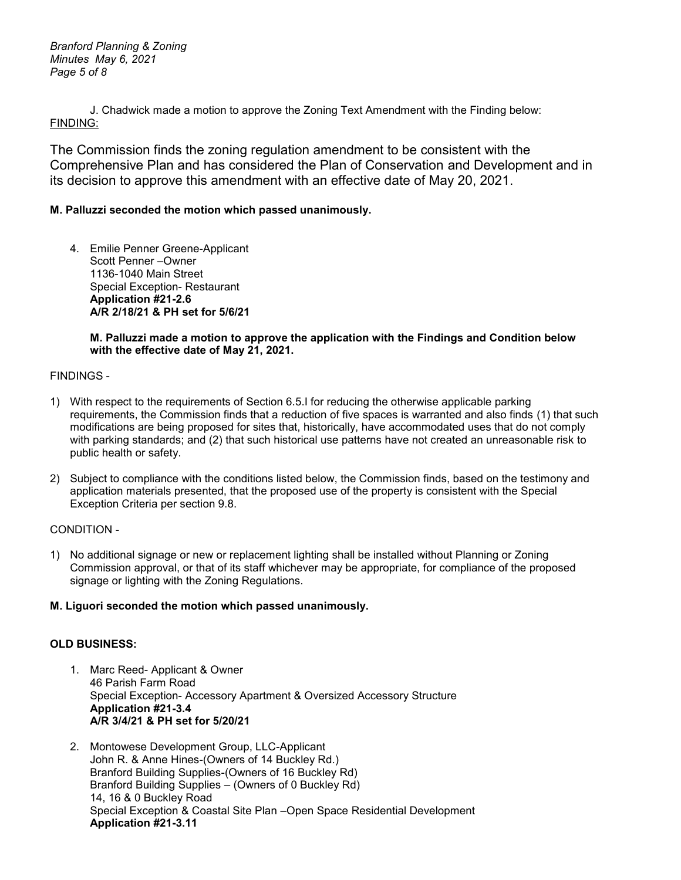*Branford Planning & Zoning Minutes May 6, 2021 Page 5 of 8*

J. Chadwick made a motion to approve the Zoning Text Amendment with the Finding below: FINDING:

The Commission finds the zoning regulation amendment to be consistent with the Comprehensive Plan and has considered the Plan of Conservation and Development and in its decision to approve this amendment with an effective date of May 20, 2021.

# **M. Palluzzi seconded the motion which passed unanimously.**

4. Emilie Penner Greene-Applicant Scott Penner –Owner 1136-1040 Main Street Special Exception- Restaurant **Application #21-2.6 A/R 2/18/21 & PH set for 5/6/21**

# **M. Palluzzi made a motion to approve the application with the Findings and Condition below with the effective date of May 21, 2021.**

#### FINDINGS -

- 1) With respect to the requirements of Section 6.5.I for reducing the otherwise applicable parking requirements, the Commission finds that a reduction of five spaces is warranted and also finds (1) that such modifications are being proposed for sites that, historically, have accommodated uses that do not comply with parking standards; and (2) that such historical use patterns have not created an unreasonable risk to public health or safety.
- 2) Subject to compliance with the conditions listed below, the Commission finds, based on the testimony and application materials presented, that the proposed use of the property is consistent with the Special Exception Criteria per section 9.8.

# CONDITION -

1) No additional signage or new or replacement lighting shall be installed without Planning or Zoning Commission approval, or that of its staff whichever may be appropriate, for compliance of the proposed signage or lighting with the Zoning Regulations.

# **M. Liguori seconded the motion which passed unanimously.**

# **OLD BUSINESS:**

- 1. Marc Reed- Applicant & Owner 46 Parish Farm Road Special Exception- Accessory Apartment & Oversized Accessory Structure **Application #21-3.4 A/R 3/4/21 & PH set for 5/20/21**
- 2. Montowese Development Group, LLC-Applicant John R. & Anne Hines-(Owners of 14 Buckley Rd.) Branford Building Supplies-(Owners of 16 Buckley Rd) Branford Building Supplies – (Owners of 0 Buckley Rd) 14, 16 & 0 Buckley Road Special Exception & Coastal Site Plan –Open Space Residential Development **Application #21-3.11**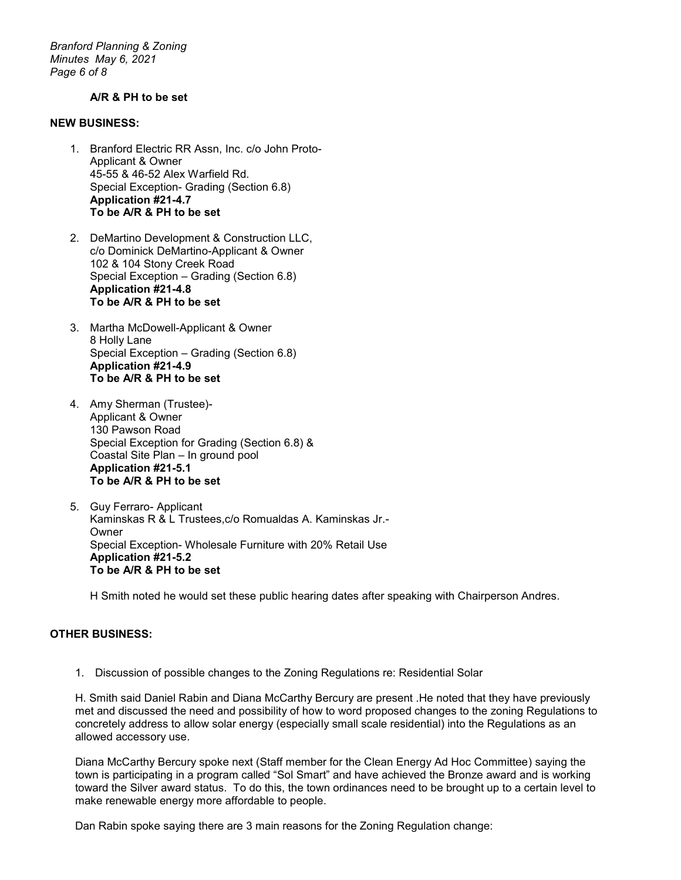*Branford Planning & Zoning Minutes May 6, 2021 Page 6 of 8*

#### **A/R & PH to be set**

#### **NEW BUSINESS:**

- 1. Branford Electric RR Assn, Inc. c/o John Proto-Applicant & Owner 45-55 & 46-52 Alex Warfield Rd. Special Exception- Grading (Section 6.8) **Application #21-4.7 To be A/R & PH to be set**
- 2. DeMartino Development & Construction LLC, c/o Dominick DeMartino-Applicant & Owner 102 & 104 Stony Creek Road Special Exception – Grading (Section 6.8) **Application #21-4.8 To be A/R & PH to be set**
- 3. Martha McDowell-Applicant & Owner 8 Holly Lane Special Exception – Grading (Section 6.8) **Application #21-4.9 To be A/R & PH to be set**
- 4. Amy Sherman (Trustee)- Applicant & Owner 130 Pawson Road Special Exception for Grading (Section 6.8) & Coastal Site Plan – In ground pool **Application #21-5.1 To be A/R & PH to be set**
- 5. Guy Ferraro- Applicant Kaminskas R & L Trustees,c/o Romualdas A. Kaminskas Jr.- **Owner** Special Exception- Wholesale Furniture with 20% Retail Use **Application #21-5.2 To be A/R & PH to be set**

H Smith noted he would set these public hearing dates after speaking with Chairperson Andres.

# **OTHER BUSINESS:**

1. Discussion of possible changes to the Zoning Regulations re: Residential Solar

H. Smith said Daniel Rabin and Diana McCarthy Bercury are present .He noted that they have previously met and discussed the need and possibility of how to word proposed changes to the zoning Regulations to concretely address to allow solar energy (especially small scale residential) into the Regulations as an allowed accessory use.

Diana McCarthy Bercury spoke next (Staff member for the Clean Energy Ad Hoc Committee) saying the town is participating in a program called "Sol Smart" and have achieved the Bronze award and is working toward the Silver award status. To do this, the town ordinances need to be brought up to a certain level to make renewable energy more affordable to people.

Dan Rabin spoke saying there are 3 main reasons for the Zoning Regulation change: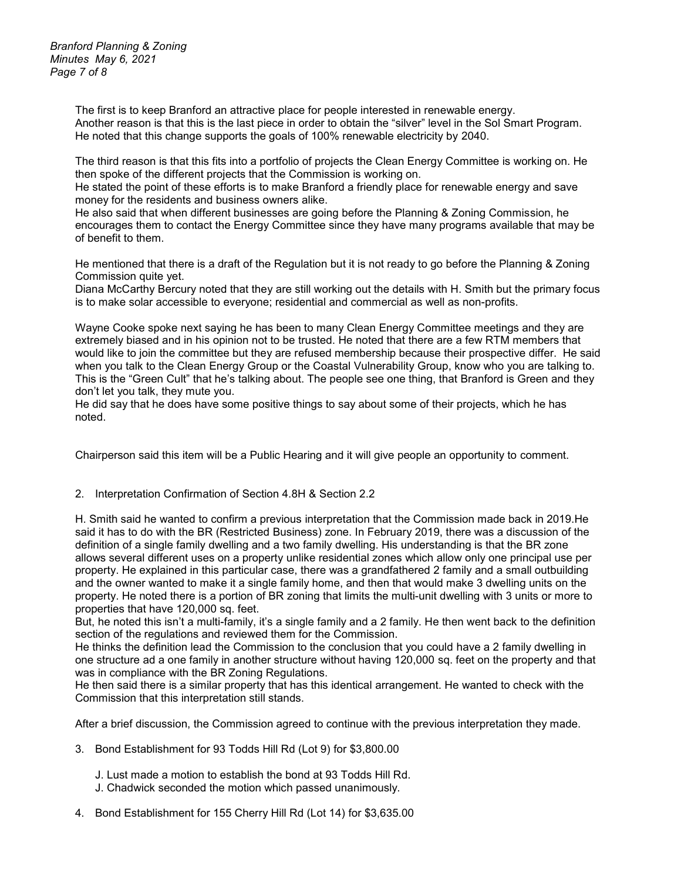*Branford Planning & Zoning Minutes May 6, 2021 Page 7 of 8*

> The first is to keep Branford an attractive place for people interested in renewable energy. Another reason is that this is the last piece in order to obtain the "silver" level in the Sol Smart Program. He noted that this change supports the goals of 100% renewable electricity by 2040.

The third reason is that this fits into a portfolio of projects the Clean Energy Committee is working on. He then spoke of the different projects that the Commission is working on.

He stated the point of these efforts is to make Branford a friendly place for renewable energy and save money for the residents and business owners alike.

He also said that when different businesses are going before the Planning & Zoning Commission, he encourages them to contact the Energy Committee since they have many programs available that may be of benefit to them.

He mentioned that there is a draft of the Regulation but it is not ready to go before the Planning & Zoning Commission quite yet.

Diana McCarthy Bercury noted that they are still working out the details with H. Smith but the primary focus is to make solar accessible to everyone; residential and commercial as well as non-profits.

Wayne Cooke spoke next saying he has been to many Clean Energy Committee meetings and they are extremely biased and in his opinion not to be trusted. He noted that there are a few RTM members that would like to join the committee but they are refused membership because their prospective differ. He said when you talk to the Clean Energy Group or the Coastal Vulnerability Group, know who you are talking to. This is the "Green Cult" that he's talking about. The people see one thing, that Branford is Green and they don't let you talk, they mute you.

He did say that he does have some positive things to say about some of their projects, which he has noted.

Chairperson said this item will be a Public Hearing and it will give people an opportunity to comment.

#### 2. Interpretation Confirmation of Section 4.8H & Section 2.2

H. Smith said he wanted to confirm a previous interpretation that the Commission made back in 2019.He said it has to do with the BR (Restricted Business) zone. In February 2019, there was a discussion of the definition of a single family dwelling and a two family dwelling. His understanding is that the BR zone allows several different uses on a property unlike residential zones which allow only one principal use per property. He explained in this particular case, there was a grandfathered 2 family and a small outbuilding and the owner wanted to make it a single family home, and then that would make 3 dwelling units on the property. He noted there is a portion of BR zoning that limits the multi-unit dwelling with 3 units or more to properties that have 120,000 sq. feet.

But, he noted this isn't a multi-family, it's a single family and a 2 family. He then went back to the definition section of the regulations and reviewed them for the Commission.

He thinks the definition lead the Commission to the conclusion that you could have a 2 family dwelling in one structure ad a one family in another structure without having 120,000 sq. feet on the property and that was in compliance with the BR Zoning Regulations.

He then said there is a similar property that has this identical arrangement. He wanted to check with the Commission that this interpretation still stands.

After a brief discussion, the Commission agreed to continue with the previous interpretation they made.

- 3. Bond Establishment for 93 Todds Hill Rd (Lot 9) for \$3,800.00
	- J. Lust made a motion to establish the bond at 93 Todds Hill Rd.
	- J. Chadwick seconded the motion which passed unanimously.
- 4. Bond Establishment for 155 Cherry Hill Rd (Lot 14) for \$3,635.00